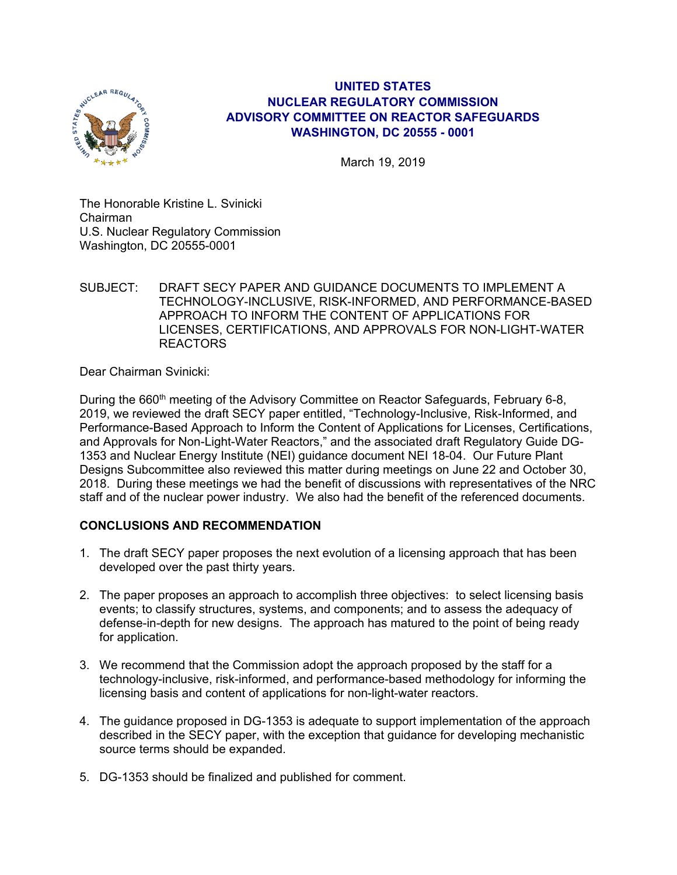

## **UNITED STATES NUCLEAR REGULATORY COMMISSION ADVISORY COMMITTEE ON REACTOR SAFEGUARDS WASHINGTON, DC 20555 - 0001**

March 19, 2019

The Honorable Kristine L. Svinicki Chairman U.S. Nuclear Regulatory Commission Washington, DC 20555-0001

SUBJECT: DRAFT SECY PAPER AND GUIDANCE DOCUMENTS TO IMPLEMENT A TECHNOLOGY-INCLUSIVE, RISK-INFORMED, AND PERFORMANCE-BASED APPROACH TO INFORM THE CONTENT OF APPLICATIONS FOR LICENSES, CERTIFICATIONS, AND APPROVALS FOR NON-LIGHT-WATER REACTORS

Dear Chairman Svinicki:

During the 660<sup>th</sup> meeting of the Advisory Committee on Reactor Safeguards, February 6-8, 2019, we reviewed the draft SECY paper entitled, "Technology-Inclusive, Risk-Informed, and Performance-Based Approach to Inform the Content of Applications for Licenses, Certifications, and Approvals for Non-Light-Water Reactors," and the associated draft Regulatory Guide DG-1353 and Nuclear Energy Institute (NEI) guidance document NEI 18-04. Our Future Plant Designs Subcommittee also reviewed this matter during meetings on June 22 and October 30, 2018. During these meetings we had the benefit of discussions with representatives of the NRC staff and of the nuclear power industry. We also had the benefit of the referenced documents.

# **CONCLUSIONS AND RECOMMENDATION**

- 1. The draft SECY paper proposes the next evolution of a licensing approach that has been developed over the past thirty years.
- 2. The paper proposes an approach to accomplish three objectives: to select licensing basis events; to classify structures, systems, and components; and to assess the adequacy of defense-in-depth for new designs. The approach has matured to the point of being ready for application.
- 3. We recommend that the Commission adopt the approach proposed by the staff for a technology-inclusive, risk-informed, and performance-based methodology for informing the licensing basis and content of applications for non-light-water reactors.
- 4. The guidance proposed in DG-1353 is adequate to support implementation of the approach described in the SECY paper, with the exception that guidance for developing mechanistic source terms should be expanded.
- 5. DG-1353 should be finalized and published for comment.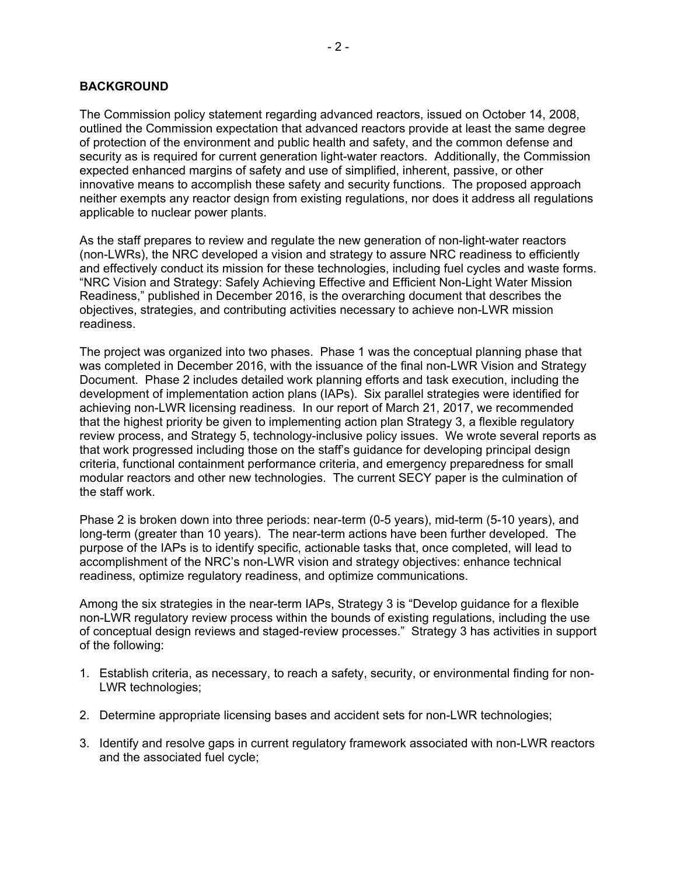The Commission policy statement regarding advanced reactors, issued on October 14, 2008, outlined the Commission expectation that advanced reactors provide at least the same degree of protection of the environment and public health and safety, and the common defense and security as is required for current generation light-water reactors. Additionally, the Commission expected enhanced margins of safety and use of simplified, inherent, passive, or other innovative means to accomplish these safety and security functions. The proposed approach neither exempts any reactor design from existing regulations, nor does it address all regulations applicable to nuclear power plants.

As the staff prepares to review and regulate the new generation of non-light-water reactors (non-LWRs), the NRC developed a vision and strategy to assure NRC readiness to efficiently and effectively conduct its mission for these technologies, including fuel cycles and waste forms. "NRC Vision and Strategy: Safely Achieving Effective and Efficient Non-Light Water Mission Readiness," published in December 2016, is the overarching document that describes the objectives, strategies, and contributing activities necessary to achieve non-LWR mission readiness.

The project was organized into two phases. Phase 1 was the conceptual planning phase that was completed in December 2016, with the issuance of the final non-LWR Vision and Strategy Document. Phase 2 includes detailed work planning efforts and task execution, including the development of implementation action plans (IAPs). Six parallel strategies were identified for achieving non-LWR licensing readiness. In our report of March 21, 2017, we recommended that the highest priority be given to implementing action plan Strategy 3, a flexible regulatory review process, and Strategy 5, technology-inclusive policy issues. We wrote several reports as that work progressed including those on the staff's guidance for developing principal design criteria, functional containment performance criteria, and emergency preparedness for small modular reactors and other new technologies. The current SECY paper is the culmination of the staff work.

Phase 2 is broken down into three periods: near-term (0-5 years), mid-term (5-10 years), and long-term (greater than 10 years). The near-term actions have been further developed. The purpose of the IAPs is to identify specific, actionable tasks that, once completed, will lead to accomplishment of the NRC's non-LWR vision and strategy objectives: enhance technical readiness, optimize regulatory readiness, and optimize communications.

Among the six strategies in the near-term IAPs, Strategy 3 is "Develop guidance for a flexible non-LWR regulatory review process within the bounds of existing regulations, including the use of conceptual design reviews and staged-review processes." Strategy 3 has activities in support of the following:

- 1. Establish criteria, as necessary, to reach a safety, security, or environmental finding for non-LWR technologies;
- 2. Determine appropriate licensing bases and accident sets for non-LWR technologies;
- 3. Identify and resolve gaps in current regulatory framework associated with non-LWR reactors and the associated fuel cycle;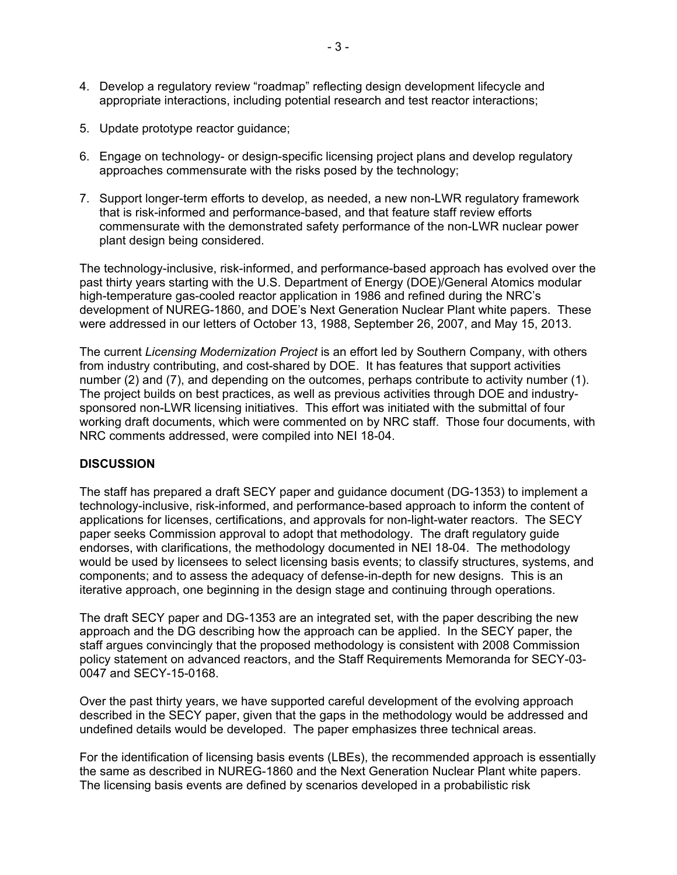- 4. Develop a regulatory review "roadmap" reflecting design development lifecycle and appropriate interactions, including potential research and test reactor interactions;
- 5. Update prototype reactor guidance;
- 6. Engage on technology- or design-specific licensing project plans and develop regulatory approaches commensurate with the risks posed by the technology;
- 7. Support longer-term efforts to develop, as needed, a new non-LWR regulatory framework that is risk-informed and performance-based, and that feature staff review efforts commensurate with the demonstrated safety performance of the non-LWR nuclear power plant design being considered.

The technology-inclusive, risk-informed, and performance-based approach has evolved over the past thirty years starting with the U.S. Department of Energy (DOE)/General Atomics modular high-temperature gas-cooled reactor application in 1986 and refined during the NRC's development of NUREG-1860, and DOE's Next Generation Nuclear Plant white papers. These were addressed in our letters of October 13, 1988, September 26, 2007, and May 15, 2013.

The current *Licensing Modernization Project* is an effort led by Southern Company, with others from industry contributing, and cost-shared by DOE. It has features that support activities number (2) and (7), and depending on the outcomes, perhaps contribute to activity number (1). The project builds on best practices, as well as previous activities through DOE and industrysponsored non-LWR licensing initiatives. This effort was initiated with the submittal of four working draft documents, which were commented on by NRC staff. Those four documents, with NRC comments addressed, were compiled into NEI 18-04.

#### **DISCUSSION**

The staff has prepared a draft SECY paper and guidance document (DG-1353) to implement a technology-inclusive, risk-informed, and performance-based approach to inform the content of applications for licenses, certifications, and approvals for non-light-water reactors. The SECY paper seeks Commission approval to adopt that methodology. The draft regulatory guide endorses, with clarifications, the methodology documented in NEI 18-04. The methodology would be used by licensees to select licensing basis events; to classify structures, systems, and components; and to assess the adequacy of defense-in-depth for new designs. This is an iterative approach, one beginning in the design stage and continuing through operations.

The draft SECY paper and DG-1353 are an integrated set, with the paper describing the new approach and the DG describing how the approach can be applied. In the SECY paper, the staff argues convincingly that the proposed methodology is consistent with 2008 Commission policy statement on advanced reactors, and the Staff Requirements Memoranda for SECY-03- 0047 and SECY-15-0168.

Over the past thirty years, we have supported careful development of the evolving approach described in the SECY paper, given that the gaps in the methodology would be addressed and undefined details would be developed. The paper emphasizes three technical areas.

For the identification of licensing basis events (LBEs), the recommended approach is essentially the same as described in NUREG-1860 and the Next Generation Nuclear Plant white papers. The licensing basis events are defined by scenarios developed in a probabilistic risk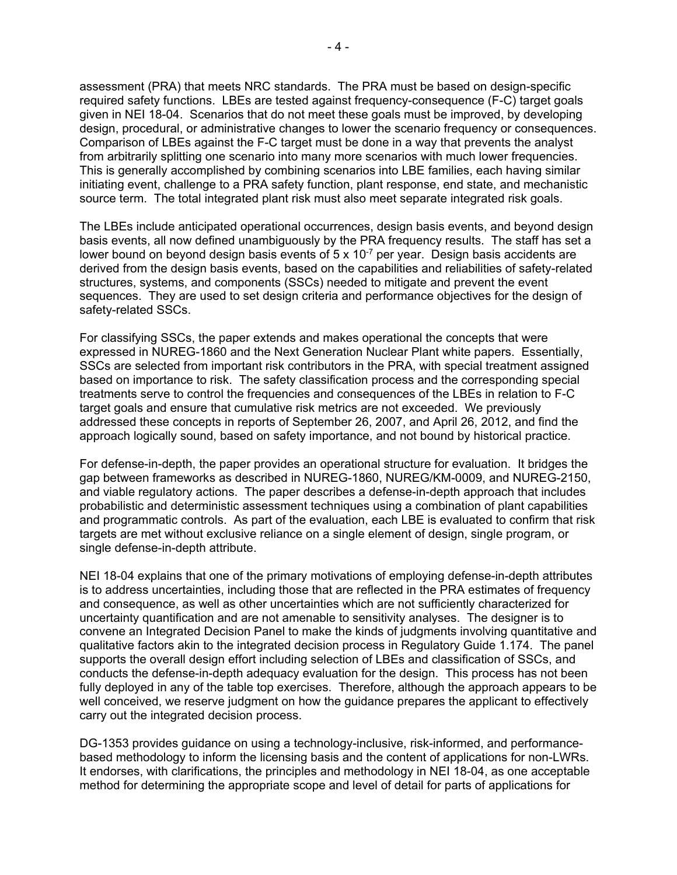assessment (PRA) that meets NRC standards. The PRA must be based on design-specific required safety functions. LBEs are tested against frequency-consequence (F-C) target goals given in NEI 18-04. Scenarios that do not meet these goals must be improved, by developing design, procedural, or administrative changes to lower the scenario frequency or consequences. Comparison of LBEs against the F-C target must be done in a way that prevents the analyst from arbitrarily splitting one scenario into many more scenarios with much lower frequencies. This is generally accomplished by combining scenarios into LBE families, each having similar initiating event, challenge to a PRA safety function, plant response, end state, and mechanistic source term. The total integrated plant risk must also meet separate integrated risk goals.

The LBEs include anticipated operational occurrences, design basis events, and beyond design basis events, all now defined unambiguously by the PRA frequency results. The staff has set a lower bound on beyond design basis events of  $5 \times 10^{-7}$  per year. Design basis accidents are derived from the design basis events, based on the capabilities and reliabilities of safety-related structures, systems, and components (SSCs) needed to mitigate and prevent the event sequences. They are used to set design criteria and performance objectives for the design of safety-related SSCs.

For classifying SSCs, the paper extends and makes operational the concepts that were expressed in NUREG-1860 and the Next Generation Nuclear Plant white papers. Essentially, SSCs are selected from important risk contributors in the PRA, with special treatment assigned based on importance to risk. The safety classification process and the corresponding special treatments serve to control the frequencies and consequences of the LBEs in relation to F-C target goals and ensure that cumulative risk metrics are not exceeded. We previously addressed these concepts in reports of September 26, 2007, and April 26, 2012, and find the approach logically sound, based on safety importance, and not bound by historical practice.

For defense-in-depth, the paper provides an operational structure for evaluation. It bridges the gap between frameworks as described in NUREG-1860, NUREG/KM-0009, and NUREG-2150, and viable regulatory actions. The paper describes a defense-in-depth approach that includes probabilistic and deterministic assessment techniques using a combination of plant capabilities and programmatic controls. As part of the evaluation, each LBE is evaluated to confirm that risk targets are met without exclusive reliance on a single element of design, single program, or single defense-in-depth attribute.

NEI 18-04 explains that one of the primary motivations of employing defense-in-depth attributes is to address uncertainties, including those that are reflected in the PRA estimates of frequency and consequence, as well as other uncertainties which are not sufficiently characterized for uncertainty quantification and are not amenable to sensitivity analyses. The designer is to convene an Integrated Decision Panel to make the kinds of judgments involving quantitative and qualitative factors akin to the integrated decision process in Regulatory Guide 1.174. The panel supports the overall design effort including selection of LBEs and classification of SSCs, and conducts the defense-in-depth adequacy evaluation for the design. This process has not been fully deployed in any of the table top exercises. Therefore, although the approach appears to be well conceived, we reserve judgment on how the guidance prepares the applicant to effectively carry out the integrated decision process.

DG-1353 provides guidance on using a technology-inclusive, risk-informed, and performancebased methodology to inform the licensing basis and the content of applications for non-LWRs. It endorses, with clarifications, the principles and methodology in NEI 18-04, as one acceptable method for determining the appropriate scope and level of detail for parts of applications for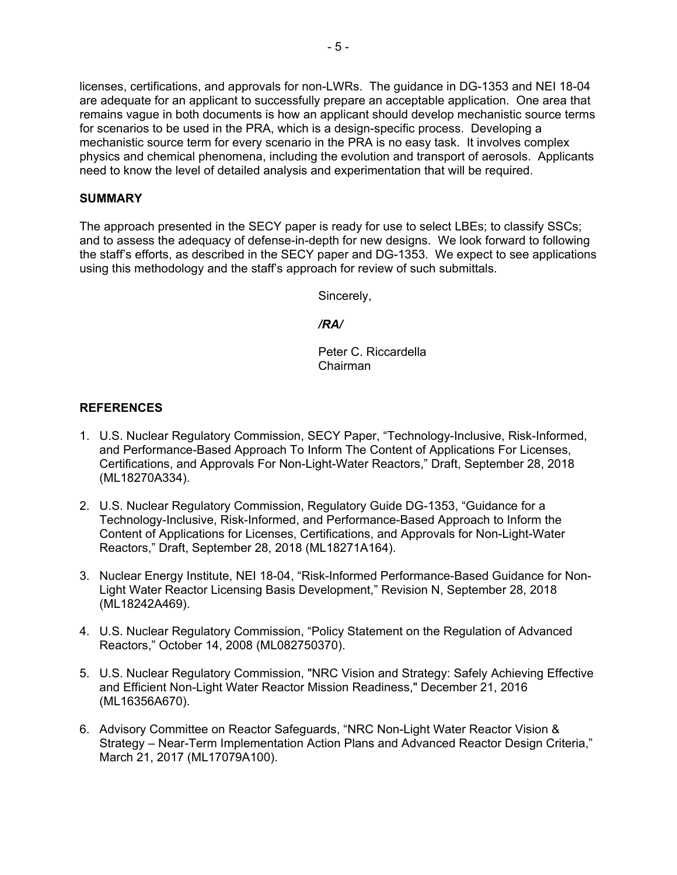licenses, certifications, and approvals for non-LWRs. The guidance in DG-1353 and NEI 18-04 are adequate for an applicant to successfully prepare an acceptable application. One area that remains vague in both documents is how an applicant should develop mechanistic source terms for scenarios to be used in the PRA, which is a design-specific process. Developing a mechanistic source term for every scenario in the PRA is no easy task. It involves complex physics and chemical phenomena, including the evolution and transport of aerosols. Applicants need to know the level of detailed analysis and experimentation that will be required.

### **SUMMARY**

The approach presented in the SECY paper is ready for use to select LBEs; to classify SSCs; and to assess the adequacy of defense-in-depth for new designs. We look forward to following the staff's efforts, as described in the SECY paper and DG-1353. We expect to see applications using this methodology and the staff's approach for review of such submittals.

Sincerely,

 */RA/* 

Peter C. Riccardella Chairman

### **REFERENCES**

- 1. U.S. Nuclear Regulatory Commission, SECY Paper, "Technology-Inclusive, Risk-Informed, and Performance-Based Approach To Inform The Content of Applications For Licenses, Certifications, and Approvals For Non-Light-Water Reactors," Draft, September 28, 2018 (ML18270A334).
- 2. U.S. Nuclear Regulatory Commission, Regulatory Guide DG-1353, "Guidance for a Technology-Inclusive, Risk-Informed, and Performance-Based Approach to Inform the Content of Applications for Licenses, Certifications, and Approvals for Non-Light-Water Reactors," Draft, September 28, 2018 (ML18271A164).
- 3. Nuclear Energy Institute, NEI 18-04, "Risk-Informed Performance-Based Guidance for Non-Light Water Reactor Licensing Basis Development," Revision N, September 28, 2018 (ML18242A469).
- 4. U.S. Nuclear Regulatory Commission, "Policy Statement on the Regulation of Advanced Reactors," October 14, 2008 (ML082750370).
- 5. U.S. Nuclear Regulatory Commission, "NRC Vision and Strategy: Safely Achieving Effective and Efficient Non-Light Water Reactor Mission Readiness," December 21, 2016 (ML16356A670).
- 6. Advisory Committee on Reactor Safeguards, "NRC Non-Light Water Reactor Vision & Strategy – Near-Term Implementation Action Plans and Advanced Reactor Design Criteria," March 21, 2017 (ML17079A100).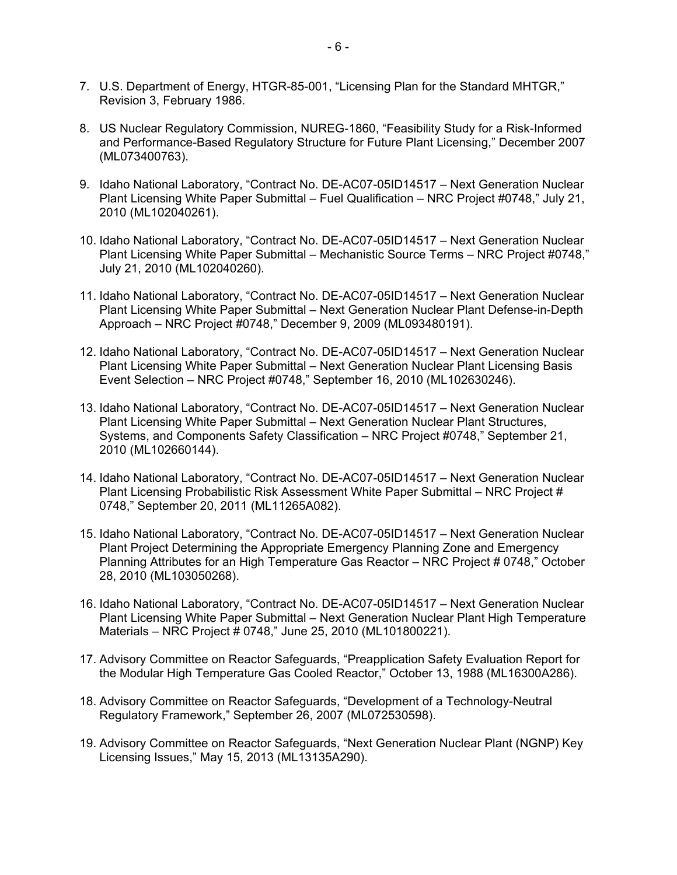- 7. U.S. Department of Energy, HTGR-85-001, "Licensing Plan for the Standard MHTGR," Revision 3, February 1986.
- 8. US Nuclear Regulatory Commission, NUREG-1860, "Feasibility Study for a Risk-Informed and Performance-Based Regulatory Structure for Future Plant Licensing," December 2007 (ML073400763).
- 9. Idaho National Laboratory, "Contract No. DE-AC07-05ID14517 Next Generation Nuclear Plant Licensing White Paper Submittal – Fuel Qualification – NRC Project #0748," July 21, 2010 (ML102040261).
- 10. Idaho National Laboratory, "Contract No. DE-AC07-05ID14517 Next Generation Nuclear Plant Licensing White Paper Submittal – Mechanistic Source Terms – NRC Project #0748," July 21, 2010 (ML102040260).
- 11. Idaho National Laboratory, "Contract No. DE-AC07-05ID14517 Next Generation Nuclear Plant Licensing White Paper Submittal – Next Generation Nuclear Plant Defense-in-Depth Approach – NRC Project #0748," December 9, 2009 (ML093480191).
- 12. Idaho National Laboratory, "Contract No. DE-AC07-05ID14517 Next Generation Nuclear Plant Licensing White Paper Submittal – Next Generation Nuclear Plant Licensing Basis Event Selection – NRC Project #0748," September 16, 2010 (ML102630246).
- 13. Idaho National Laboratory, "Contract No. DE-AC07-05ID14517 Next Generation Nuclear Plant Licensing White Paper Submittal – Next Generation Nuclear Plant Structures, Systems, and Components Safety Classification – NRC Project #0748," September 21, 2010 (ML102660144).
- 14. Idaho National Laboratory, "Contract No. DE-AC07-05ID14517 Next Generation Nuclear Plant Licensing Probabilistic Risk Assessment White Paper Submittal – NRC Project # 0748," September 20, 2011 (ML11265A082).
- 15. Idaho National Laboratory, "Contract No. DE-AC07-05ID14517 Next Generation Nuclear Plant Project Determining the Appropriate Emergency Planning Zone and Emergency Planning Attributes for an High Temperature Gas Reactor – NRC Project # 0748," October 28, 2010 (ML103050268).
- 16. Idaho National Laboratory, "Contract No. DE-AC07-05ID14517 Next Generation Nuclear Plant Licensing White Paper Submittal – Next Generation Nuclear Plant High Temperature Materials – NRC Project # 0748," June 25, 2010 (ML101800221).
- 17. Advisory Committee on Reactor Safeguards, "Preapplication Safety Evaluation Report for the Modular High Temperature Gas Cooled Reactor," October 13, 1988 (ML16300A286).
- 18. Advisory Committee on Reactor Safeguards, "Development of a Technology-Neutral Regulatory Framework," September 26, 2007 (ML072530598).
- 19. Advisory Committee on Reactor Safeguards, "Next Generation Nuclear Plant (NGNP) Key Licensing Issues," May 15, 2013 (ML13135A290).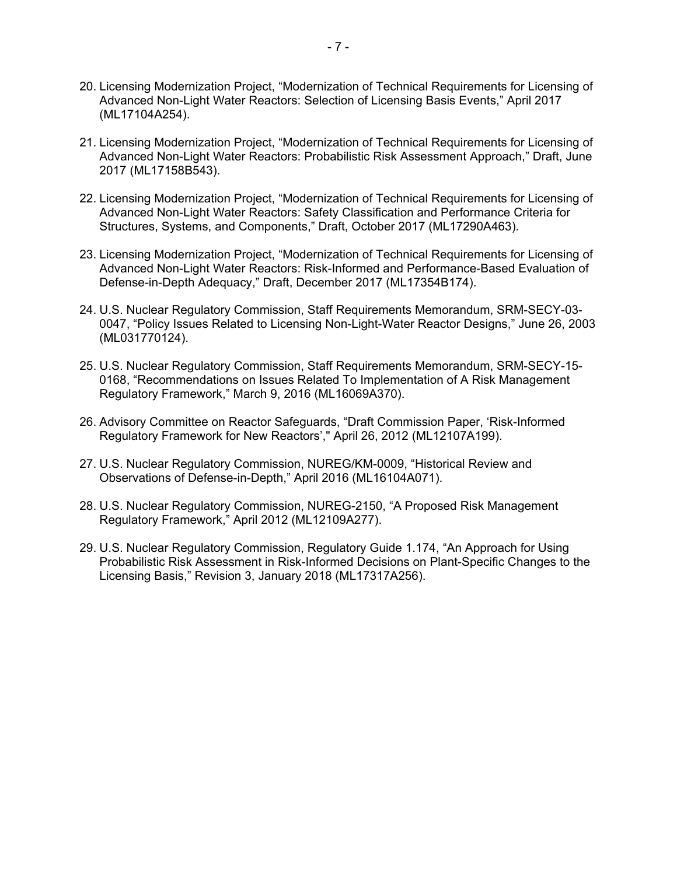- 20. Licensing Modernization Project, "Modernization of Technical Requirements for Licensing of Advanced Non-Light Water Reactors: Selection of Licensing Basis Events," April 2017 (ML17104A254).
- 21. Licensing Modernization Project, "Modernization of Technical Requirements for Licensing of Advanced Non-Light Water Reactors: Probabilistic Risk Assessment Approach," Draft, June 2017 (ML17158B543).
- 22. Licensing Modernization Project, "Modernization of Technical Requirements for Licensing of Advanced Non-Light Water Reactors: Safety Classification and Performance Criteria for Structures, Systems, and Components," Draft, October 2017 (ML17290A463).
- 23. Licensing Modernization Project, "Modernization of Technical Requirements for Licensing of Advanced Non-Light Water Reactors: Risk-Informed and Performance-Based Evaluation of Defense-in-Depth Adequacy," Draft, December 2017 (ML17354B174).
- 24. U.S. Nuclear Regulatory Commission, Staff Requirements Memorandum, SRM-SECY-03- 0047, "Policy Issues Related to Licensing Non-Light-Water Reactor Designs," June 26, 2003 (ML031770124).
- 25. U.S. Nuclear Regulatory Commission, Staff Requirements Memorandum, SRM-SECY-15- 0168, "Recommendations on Issues Related To Implementation of A Risk Management Regulatory Framework," March 9, 2016 (ML16069A370).
- 26. Advisory Committee on Reactor Safeguards, "Draft Commission Paper, 'Risk-Informed Regulatory Framework for New Reactors'," April 26, 2012 (ML12107A199).
- 27. U.S. Nuclear Regulatory Commission, NUREG/KM-0009, "Historical Review and Observations of Defense-in-Depth," April 2016 (ML16104A071).
- 28. U.S. Nuclear Regulatory Commission, NUREG-2150, "A Proposed Risk Management Regulatory Framework," April 2012 (ML12109A277).
- 29. U.S. Nuclear Regulatory Commission, Regulatory Guide 1.174, "An Approach for Using Probabilistic Risk Assessment in Risk-Informed Decisions on Plant-Specific Changes to the Licensing Basis," Revision 3, January 2018 (ML17317A256).